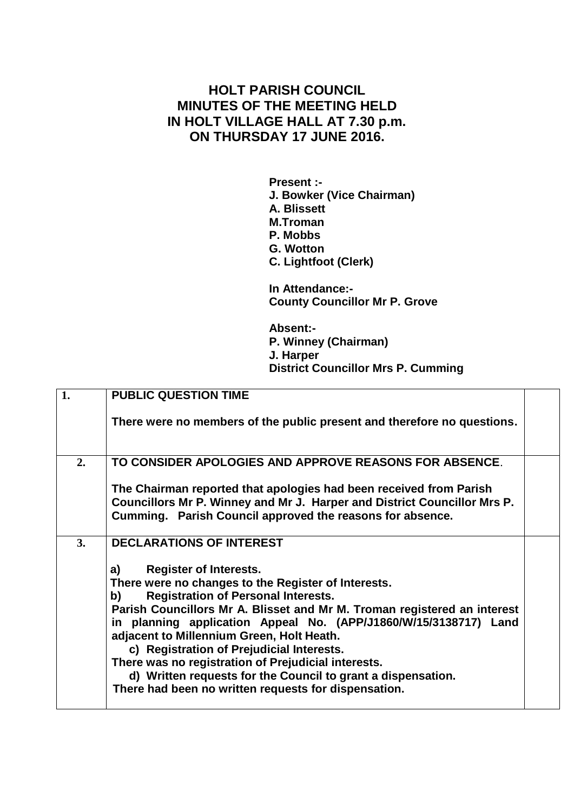## **HOLT PARISH COUNCIL MINUTES OF THE MEETING HELD IN HOLT VILLAGE HALL AT 7.30 p.m. ON THURSDAY 17 JUNE 2016.**

**Present :- J. Bowker (Vice Chairman) A. Blissett M.Troman P. Mobbs G. Wotton C. Lightfoot (Clerk)**

**In Attendance:- County Councillor Mr P. Grove**

**Absent:- P. Winney (Chairman) J. Harper District Councillor Mrs P. Cumming**

| 1. | <b>PUBLIC QUESTION TIME</b>                                                                                                                                                                                                                                                                                                                                                                                                                                                                                                                                             |  |
|----|-------------------------------------------------------------------------------------------------------------------------------------------------------------------------------------------------------------------------------------------------------------------------------------------------------------------------------------------------------------------------------------------------------------------------------------------------------------------------------------------------------------------------------------------------------------------------|--|
|    | There were no members of the public present and therefore no questions.                                                                                                                                                                                                                                                                                                                                                                                                                                                                                                 |  |
| 2. | TO CONSIDER APOLOGIES AND APPROVE REASONS FOR ABSENCE.                                                                                                                                                                                                                                                                                                                                                                                                                                                                                                                  |  |
|    | The Chairman reported that apologies had been received from Parish<br>Councillors Mr P. Winney and Mr J. Harper and District Councillor Mrs P.<br>Cumming. Parish Council approved the reasons for absence.                                                                                                                                                                                                                                                                                                                                                             |  |
| 3. | <b>DECLARATIONS OF INTEREST</b>                                                                                                                                                                                                                                                                                                                                                                                                                                                                                                                                         |  |
|    | <b>Register of Interests.</b><br>a)<br>There were no changes to the Register of Interests.<br><b>Registration of Personal Interests.</b><br>b)<br>Parish Councillors Mr A. Blisset and Mr M. Troman registered an interest<br>in planning application Appeal No. (APP/J1860/W/15/3138717) Land<br>adjacent to Millennium Green, Holt Heath.<br>c) Registration of Prejudicial Interests.<br>There was no registration of Prejudicial interests.<br>d) Written requests for the Council to grant a dispensation.<br>There had been no written requests for dispensation. |  |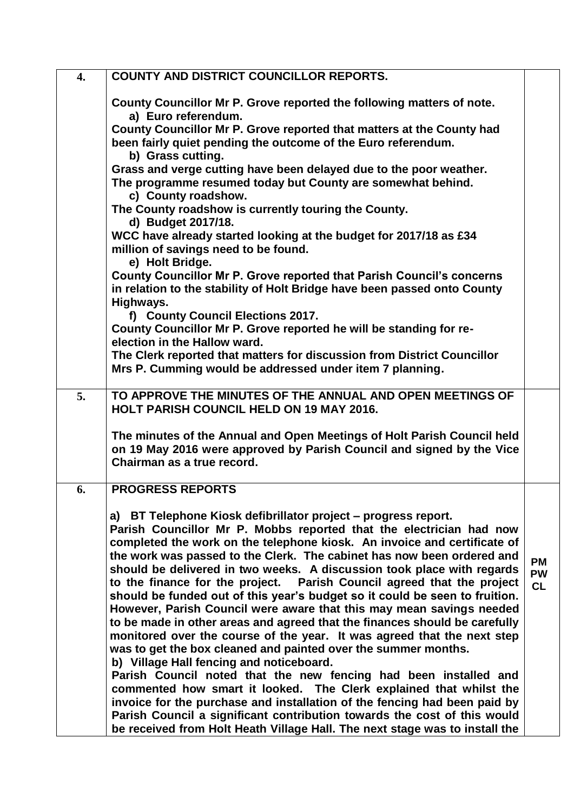| 4. | <b>COUNTY AND DISTRICT COUNCILLOR REPORTS.</b>                                                                                                                                 |                        |
|----|--------------------------------------------------------------------------------------------------------------------------------------------------------------------------------|------------------------|
|    | County Councillor Mr P. Grove reported the following matters of note.<br>a) Euro referendum.                                                                                   |                        |
|    | County Councillor Mr P. Grove reported that matters at the County had<br>been fairly quiet pending the outcome of the Euro referendum.                                         |                        |
|    | b) Grass cutting.                                                                                                                                                              |                        |
|    | Grass and verge cutting have been delayed due to the poor weather.<br>The programme resumed today but County are somewhat behind.<br>c) County roadshow.                       |                        |
|    | The County roadshow is currently touring the County.<br>d) Budget 2017/18.                                                                                                     |                        |
|    | WCC have already started looking at the budget for 2017/18 as £34<br>million of savings need to be found.<br>e) Holt Bridge.                                                   |                        |
|    | County Councillor Mr P. Grove reported that Parish Council's concerns<br>in relation to the stability of Holt Bridge have been passed onto County                              |                        |
|    | Highways.                                                                                                                                                                      |                        |
|    | f) County Council Elections 2017.<br>County Councillor Mr P. Grove reported he will be standing for re-                                                                        |                        |
|    | election in the Hallow ward.                                                                                                                                                   |                        |
|    | The Clerk reported that matters for discussion from District Councillor<br>Mrs P. Cumming would be addressed under item 7 planning.                                            |                        |
| 5. | TO APPROVE THE MINUTES OF THE ANNUAL AND OPEN MEETINGS OF<br><b>HOLT PARISH COUNCIL HELD ON 19 MAY 2016.</b>                                                                   |                        |
|    |                                                                                                                                                                                |                        |
|    | The minutes of the Annual and Open Meetings of Holt Parish Council held<br>on 19 May 2016 were approved by Parish Council and signed by the Vice<br>Chairman as a true record. |                        |
| 6. | <b>PROGRESS REPORTS</b>                                                                                                                                                        |                        |
|    | a) BT Telephone Kiosk defibrillator project – progress report.                                                                                                                 |                        |
|    | Parish Councillor Mr P. Mobbs reported that the electrician had now                                                                                                            |                        |
|    | completed the work on the telephone kiosk. An invoice and certificate of<br>the work was passed to the Clerk. The cabinet has now been ordered and                             |                        |
|    | should be delivered in two weeks. A discussion took place with regards                                                                                                         | <b>PM</b><br><b>PW</b> |
|    | to the finance for the project.  Parish Council agreed that the project<br>should be funded out of this year's budget so it could be seen to fruition.                         | <b>CL</b>              |
|    | However, Parish Council were aware that this may mean savings needed                                                                                                           |                        |
|    | to be made in other areas and agreed that the finances should be carefully                                                                                                     |                        |
|    | monitored over the course of the year. It was agreed that the next step<br>was to get the box cleaned and painted over the summer months.                                      |                        |
|    | b) Village Hall fencing and noticeboard.                                                                                                                                       |                        |
|    | Parish Council noted that the new fencing had been installed and<br>commented how smart it looked. The Clerk explained that whilst the                                         |                        |
|    | invoice for the purchase and installation of the fencing had been paid by                                                                                                      |                        |
|    | Parish Council a significant contribution towards the cost of this would                                                                                                       |                        |
|    | be received from Holt Heath Village Hall. The next stage was to install the                                                                                                    |                        |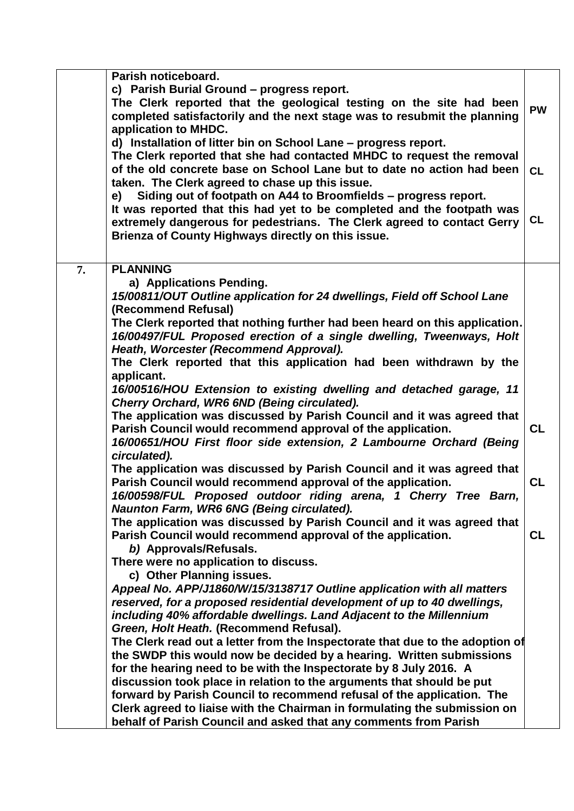| Parish noticeboard.                                                           |           |
|-------------------------------------------------------------------------------|-----------|
| c) Parish Burial Ground - progress report.                                    |           |
| The Clerk reported that the geological testing on the site had been           |           |
| completed satisfactorily and the next stage was to resubmit the planning      | <b>PW</b> |
| application to MHDC.                                                          |           |
| d) Installation of litter bin on School Lane - progress report.               |           |
| The Clerk reported that she had contacted MHDC to request the removal         |           |
| of the old concrete base on School Lane but to date no action had been        | <b>CL</b> |
| taken. The Clerk agreed to chase up this issue.                               |           |
| e) Siding out of footpath on A44 to Broomfields - progress report.            |           |
| It was reported that this had yet to be completed and the footpath was        |           |
|                                                                               | <b>CL</b> |
| extremely dangerous for pedestrians. The Clerk agreed to contact Gerry        |           |
| Brienza of County Highways directly on this issue.                            |           |
|                                                                               |           |
| <b>PLANNING</b><br>7.                                                         |           |
| a) Applications Pending.                                                      |           |
| 15/00811/OUT Outline application for 24 dwellings, Field off School Lane      |           |
| (Recommend Refusal)                                                           |           |
| The Clerk reported that nothing further had been heard on this application.   |           |
| 16/00497/FUL Proposed erection of a single dwelling, Tweenways, Holt          |           |
| Heath, Worcester (Recommend Approval).                                        |           |
| The Clerk reported that this application had been withdrawn by the            |           |
| applicant.                                                                    |           |
| 16/00516/HOU Extension to existing dwelling and detached garage, 11           |           |
| Cherry Orchard, WR6 6ND (Being circulated).                                   |           |
| The application was discussed by Parish Council and it was agreed that        |           |
| Parish Council would recommend approval of the application.                   | <b>CL</b> |
|                                                                               |           |
| 16/00651/HOU First floor side extension, 2 Lambourne Orchard (Being           |           |
| circulated).                                                                  |           |
| The application was discussed by Parish Council and it was agreed that        |           |
| Parish Council would recommend approval of the application.                   | <b>CL</b> |
| 16/00598/FUL Proposed outdoor riding arena, 1 Cherry Tree Barn,               |           |
| Naunton Farm, WR6 6NG (Being circulated).                                     |           |
| The application was discussed by Parish Council and it was agreed that        |           |
| Parish Council would recommend approval of the application.                   | <b>CL</b> |
| b) Approvals/Refusals.                                                        |           |
| There were no application to discuss.                                         |           |
| c) Other Planning issues.                                                     |           |
| Appeal No. APP/J1860/W/15/3138717 Outline application with all matters        |           |
| reserved, for a proposed residential development of up to 40 dwellings,       |           |
| including 40% affordable dwellings. Land Adjacent to the Millennium           |           |
| Green, Holt Heath. (Recommend Refusal).                                       |           |
| The Clerk read out a letter from the Inspectorate that due to the adoption of |           |
| the SWDP this would now be decided by a hearing. Written submissions          |           |
| for the hearing need to be with the Inspectorate by 8 July 2016. A            |           |
| discussion took place in relation to the arguments that should be put         |           |
| forward by Parish Council to recommend refusal of the application. The        |           |
| Clerk agreed to liaise with the Chairman in formulating the submission on     |           |
| behalf of Parish Council and asked that any comments from Parish              |           |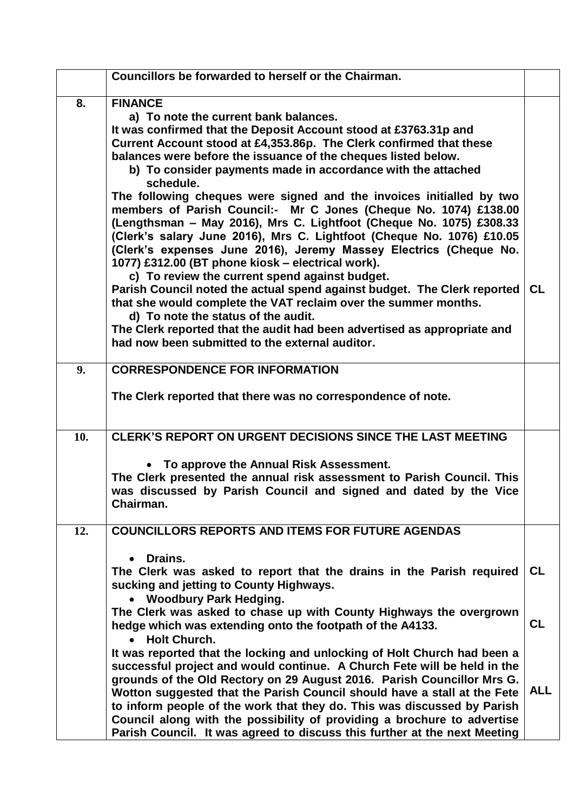|     | Councillors be forwarded to herself or the Chairman.                                                                                                                                                                                                                                                                                                                                                                                                                                                                                                                                                                                                                                                                                                                                                                      |            |
|-----|---------------------------------------------------------------------------------------------------------------------------------------------------------------------------------------------------------------------------------------------------------------------------------------------------------------------------------------------------------------------------------------------------------------------------------------------------------------------------------------------------------------------------------------------------------------------------------------------------------------------------------------------------------------------------------------------------------------------------------------------------------------------------------------------------------------------------|------------|
| 8.  | <b>FINANCE</b><br>a) To note the current bank balances.<br>It was confirmed that the Deposit Account stood at £3763.31p and<br>Current Account stood at £4,353.86p. The Clerk confirmed that these<br>balances were before the issuance of the cheques listed below.<br>b) To consider payments made in accordance with the attached<br>schedule.<br>The following cheques were signed and the invoices initialled by two<br>members of Parish Council:- Mr C Jones (Cheque No. 1074) £138.00<br>(Lengthsman - May 2016), Mrs C. Lightfoot (Cheque No. 1075) £308.33<br>(Clerk's salary June 2016), Mrs C. Lightfoot (Cheque No. 1076) £10.05<br>(Clerk's expenses June 2016), Jeremy Massey Electrics (Cheque No.<br>1077) £312.00 (BT phone kiosk - electrical work).<br>c) To review the current spend against budget. |            |
|     | Parish Council noted the actual spend against budget. The Clerk reported<br>that she would complete the VAT reclaim over the summer months.<br>d) To note the status of the audit.<br>The Clerk reported that the audit had been advertised as appropriate and<br>had now been submitted to the external auditor.                                                                                                                                                                                                                                                                                                                                                                                                                                                                                                         | <b>CL</b>  |
| 9.  | <b>CORRESPONDENCE FOR INFORMATION</b><br>The Clerk reported that there was no correspondence of note.                                                                                                                                                                                                                                                                                                                                                                                                                                                                                                                                                                                                                                                                                                                     |            |
| 10. | <b>CLERK'S REPORT ON URGENT DECISIONS SINCE THE LAST MEETING</b><br>• To approve the Annual Risk Assessment.<br>The Clerk presented the annual risk assessment to Parish Council. This<br>was discussed by Parish Council and signed and dated by the Vice<br>Chairman.                                                                                                                                                                                                                                                                                                                                                                                                                                                                                                                                                   |            |
| 12. | <b>COUNCILLORS REPORTS AND ITEMS FOR FUTURE AGENDAS</b><br>Drains.<br>The Clerk was asked to report that the drains in the Parish required<br>sucking and jetting to County Highways.                                                                                                                                                                                                                                                                                                                                                                                                                                                                                                                                                                                                                                     | <b>CL</b>  |
|     | • Woodbury Park Hedging.<br>The Clerk was asked to chase up with County Highways the overgrown<br>hedge which was extending onto the footpath of the A4133.<br><b>Holt Church.</b>                                                                                                                                                                                                                                                                                                                                                                                                                                                                                                                                                                                                                                        | CL         |
|     | It was reported that the locking and unlocking of Holt Church had been a<br>successful project and would continue. A Church Fete will be held in the<br>grounds of the Old Rectory on 29 August 2016. Parish Councillor Mrs G.<br>Wotton suggested that the Parish Council should have a stall at the Fete<br>to inform people of the work that they do. This was discussed by Parish<br>Council along with the possibility of providing a brochure to advertise<br>Parish Council. It was agreed to discuss this further at the next Meeting                                                                                                                                                                                                                                                                             | <b>ALL</b> |